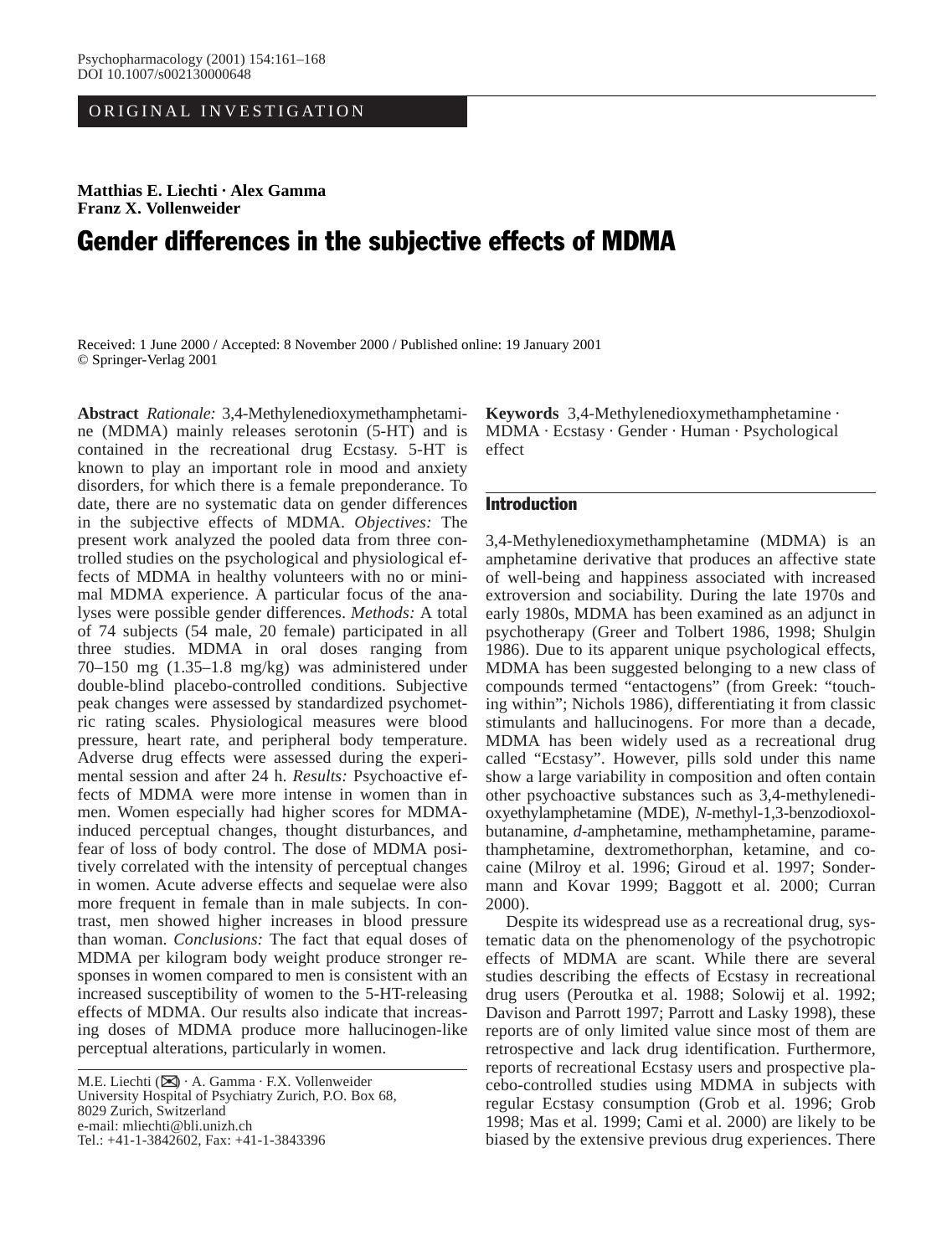ORIGINAL INVESTIGATION

**Matthias E. Liechti · Alex Gamma Franz X. Vollenweider**

# Gender differences in the subjective effects of MDMA

Received: 1 June 2000 / Accepted: 8 November 2000 / Published online: 19 January 2001 © Springer-Verlag 2001

**Abstract** *Rationale:* 3,4-Methylenedioxymethamphetamine (MDMA) mainly releases serotonin (5-HT) and is contained in the recreational drug Ecstasy. 5-HT is known to play an important role in mood and anxiety disorders, for which there is a female preponderance. To date, there are no systematic data on gender differences in the subjective effects of MDMA. *Objectives:* The present work analyzed the pooled data from three controlled studies on the psychological and physiological effects of MDMA in healthy volunteers with no or minimal MDMA experience. A particular focus of the analyses were possible gender differences. *Methods:* A total of 74 subjects (54 male, 20 female) participated in all three studies. MDMA in oral doses ranging from 70–150 mg (1.35–1.8 mg/kg) was administered under double-blind placebo-controlled conditions. Subjective peak changes were assessed by standardized psychometric rating scales. Physiological measures were blood pressure, heart rate, and peripheral body temperature. Adverse drug effects were assessed during the experimental session and after 24 h. *Results:* Psychoactive effects of MDMA were more intense in women than in men. Women especially had higher scores for MDMAinduced perceptual changes, thought disturbances, and fear of loss of body control. The dose of MDMA positively correlated with the intensity of perceptual changes in women. Acute adverse effects and sequelae were also more frequent in female than in male subjects. In contrast, men showed higher increases in blood pressure than woman. *Conclusions:* The fact that equal doses of MDMA per kilogram body weight produce stronger responses in women compared to men is consistent with an increased susceptibility of women to the 5-HT-releasing effects of MDMA. Our results also indicate that increasing doses of MDMA produce more hallucinogen-like perceptual alterations, particularly in women.

**Keywords** 3,4-Methylenedioxymethamphetamine · MDMA · Ecstasy · Gender · Human · Psychological effect

## Introduction

3,4-Methylenedioxymethamphetamine (MDMA) is an amphetamine derivative that produces an affective state of well-being and happiness associated with increased extroversion and sociability. During the late 1970s and early 1980s, MDMA has been examined as an adjunct in psychotherapy (Greer and Tolbert 1986, 1998; Shulgin 1986). Due to its apparent unique psychological effects, MDMA has been suggested belonging to a new class of compounds termed "entactogens" (from Greek: "touching within"; Nichols 1986), differentiating it from classic stimulants and hallucinogens. For more than a decade, MDMA has been widely used as a recreational drug called "Ecstasy". However, pills sold under this name show a large variability in composition and often contain other psychoactive substances such as 3,4-methylenedioxyethylamphetamine (MDE), *N*-methyl-1,3-benzodioxolbutanamine, *d*-amphetamine, methamphetamine, paramethamphetamine, dextromethorphan, ketamine, and cocaine (Milroy et al. 1996; Giroud et al. 1997; Sondermann and Kovar 1999; Baggott et al. 2000; Curran 2000).

Despite its widespread use as a recreational drug, systematic data on the phenomenology of the psychotropic effects of MDMA are scant. While there are several studies describing the effects of Ecstasy in recreational drug users (Peroutka et al. 1988; Solowij et al. 1992; Davison and Parrott 1997; Parrott and Lasky 1998), these reports are of only limited value since most of them are retrospective and lack drug identification. Furthermore, reports of recreational Ecstasy users and prospective placebo-controlled studies using MDMA in subjects with regular Ecstasy consumption (Grob et al. 1996; Grob 1998; Mas et al. 1999; Cami et al. 2000) are likely to be biased by the extensive previous drug experiences. There

M.E. Liechti (✉) · A. Gamma · F.X. Vollenweider University Hospital of Psychiatry Zurich, P.O. Box 68, 8029 Zurich, Switzerland e-mail: mliechti@bli.unizh.ch Tel.: +41-1-3842602, Fax: +41-1-3843396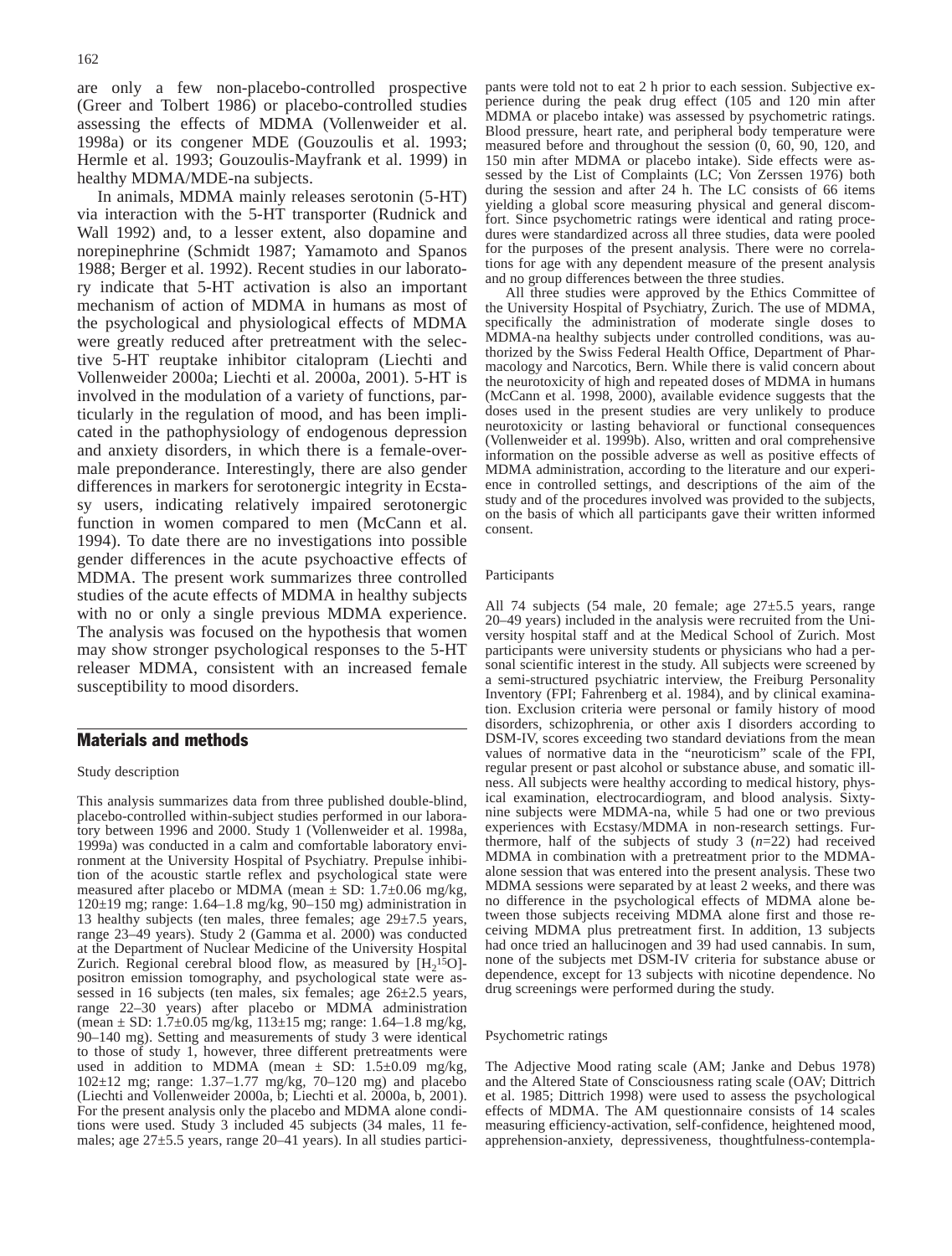are only a few non-placebo-controlled prospective (Greer and Tolbert 1986) or placebo-controlled studies assessing the effects of MDMA (Vollenweider et al. 1998a) or its congener MDE (Gouzoulis et al. 1993; Hermle et al. 1993; Gouzoulis-Mayfrank et al. 1999) in healthy MDMA/MDE-na subjects.

In animals, MDMA mainly releases serotonin (5-HT) via interaction with the 5-HT transporter (Rudnick and Wall 1992) and, to a lesser extent, also dopamine and norepinephrine (Schmidt 1987; Yamamoto and Spanos 1988; Berger et al. 1992). Recent studies in our laboratory indicate that 5-HT activation is also an important mechanism of action of MDMA in humans as most of the psychological and physiological effects of MDMA were greatly reduced after pretreatment with the selective 5-HT reuptake inhibitor citalopram (Liechti and Vollenweider 2000a; Liechti et al. 2000a, 2001). 5-HT is involved in the modulation of a variety of functions, particularly in the regulation of mood, and has been implicated in the pathophysiology of endogenous depression and anxiety disorders, in which there is a female-overmale preponderance. Interestingly, there are also gender differences in markers for serotonergic integrity in Ecstasy users, indicating relatively impaired serotonergic function in women compared to men (McCann et al. 1994). To date there are no investigations into possible gender differences in the acute psychoactive effects of MDMA. The present work summarizes three controlled studies of the acute effects of MDMA in healthy subjects with no or only a single previous MDMA experience. The analysis was focused on the hypothesis that women may show stronger psychological responses to the 5-HT releaser MDMA, consistent with an increased female susceptibility to mood disorders.

# Materials and methods

#### Study description

This analysis summarizes data from three published double-blind, placebo-controlled within-subject studies performed in our laboratory between 1996 and 2000. Study 1 (Vollenweider et al. 1998a, 1999a) was conducted in a calm and comfortable laboratory environment at the University Hospital of Psychiatry. Prepulse inhibition of the acoustic startle reflex and psychological state were measured after placebo or MDMA (mean  $\pm$  SD: 1.7 $\pm$ 0.06 mg/kg, 120±19 mg; range: 1.64–1.8 mg/kg, 90–150 mg) administration in 13 healthy subjects (ten males, three females; age  $29\pm7.5$  years, range 23–49 years). Study 2 (Gamma et al. 2000) was conducted at the Department of Nuclear Medicine of the University Hospital Zurich. Regional cerebral blood flow, as measured by  $[H_2^{15}O]$ positron emission tomography, and psychological state were assessed in 16 subjects (ten males, six females; age 26±2.5 years, range 22–30 years) after placebo or MDMA administration (mean ± SD: 1.7±0.05 mg/kg, 113±15 mg; range: 1.64–1.8 mg/kg, 90–140 mg). Setting and measurements of study 3 were identical to those of study 1, however, three different pretreatments were used in addition to MDMA (mean  $\pm$  SD: 1.5 $\pm$ 0.09 mg/kg, 102±12 mg; range: 1.37–1.77 mg/kg, 70–120 mg) and placebo (Liechti and Vollenweider 2000a, b; Liechti et al. 2000a, b, 2001). For the present analysis only the placebo and MDMA alone conditions were used. Study 3 included 45 subjects (34 males, 11 females; age 27±5.5 years, range 20–41 years). In all studies participants were told not to eat 2 h prior to each session. Subjective experience during the peak drug effect (105 and 120 min after MDMA or placebo intake) was assessed by psychometric ratings. Blood pressure, heart rate, and peripheral body temperature were measured before and throughout the session (0, 60, 90, 120, and 150 min after MDMA or placebo intake). Side effects were assessed by the List of Complaints (LC; Von Zerssen 1976) both during the session and after 24 h. The LC consists of 66 items yielding a global score measuring physical and general discomfort. Since psychometric ratings were identical and rating procedures were standardized across all three studies, data were pooled for the purposes of the present analysis. There were no correlations for age with any dependent measure of the present analysis and no group differences between the three studies.

All three studies were approved by the Ethics Committee of the University Hospital of Psychiatry, Zurich. The use of MDMA, specifically the administration of moderate single doses to MDMA-na healthy subjects under controlled conditions, was authorized by the Swiss Federal Health Office, Department of Pharmacology and Narcotics, Bern. While there is valid concern about the neurotoxicity of high and repeated doses of MDMA in humans (McCann et al. 1998, 2000), available evidence suggests that the doses used in the present studies are very unlikely to produce neurotoxicity or lasting behavioral or functional consequences (Vollenweider et al. 1999b). Also, written and oral comprehensive information on the possible adverse as well as positive effects of MDMA administration, according to the literature and our experience in controlled settings, and descriptions of the aim of the study and of the procedures involved was provided to the subjects, on the basis of which all participants gave their written informed consent.

#### Participants

All 74 subjects (54 male, 20 female; age 27±5.5 years, range 20–49 years) included in the analysis were recruited from the University hospital staff and at the Medical School of Zurich. Most participants were university students or physicians who had a personal scientific interest in the study. All subjects were screened by a semi-structured psychiatric interview, the Freiburg Personality Inventory (FPI; Fahrenberg et al. 1984), and by clinical examination. Exclusion criteria were personal or family history of mood disorders, schizophrenia, or other axis I disorders according to DSM-IV, scores exceeding two standard deviations from the mean values of normative data in the "neuroticism" scale of the FPI, regular present or past alcohol or substance abuse, and somatic illness. All subjects were healthy according to medical history, physical examination, electrocardiogram, and blood analysis. Sixtynine subjects were MDMA-na, while 5 had one or two previous experiences with Ecstasy/MDMA in non-research settings. Furthermore, half of the subjects of study 3 (*n*=22) had received MDMA in combination with a pretreatment prior to the MDMAalone session that was entered into the present analysis. These two MDMA sessions were separated by at least 2 weeks, and there was no difference in the psychological effects of MDMA alone between those subjects receiving MDMA alone first and those receiving MDMA plus pretreatment first. In addition, 13 subjects had once tried an hallucinogen and 39 had used cannabis. In sum, none of the subjects met DSM-IV criteria for substance abuse or dependence, except for 13 subjects with nicotine dependence. No drug screenings were performed during the study.

#### Psychometric ratings

The Adjective Mood rating scale (AM; Janke and Debus 1978) and the Altered State of Consciousness rating scale (OAV; Dittrich et al. 1985; Dittrich 1998) were used to assess the psychological effects of MDMA. The AM questionnaire consists of 14 scales measuring efficiency-activation, self-confidence, heightened mood, apprehension-anxiety, depressiveness, thoughtfulness-contempla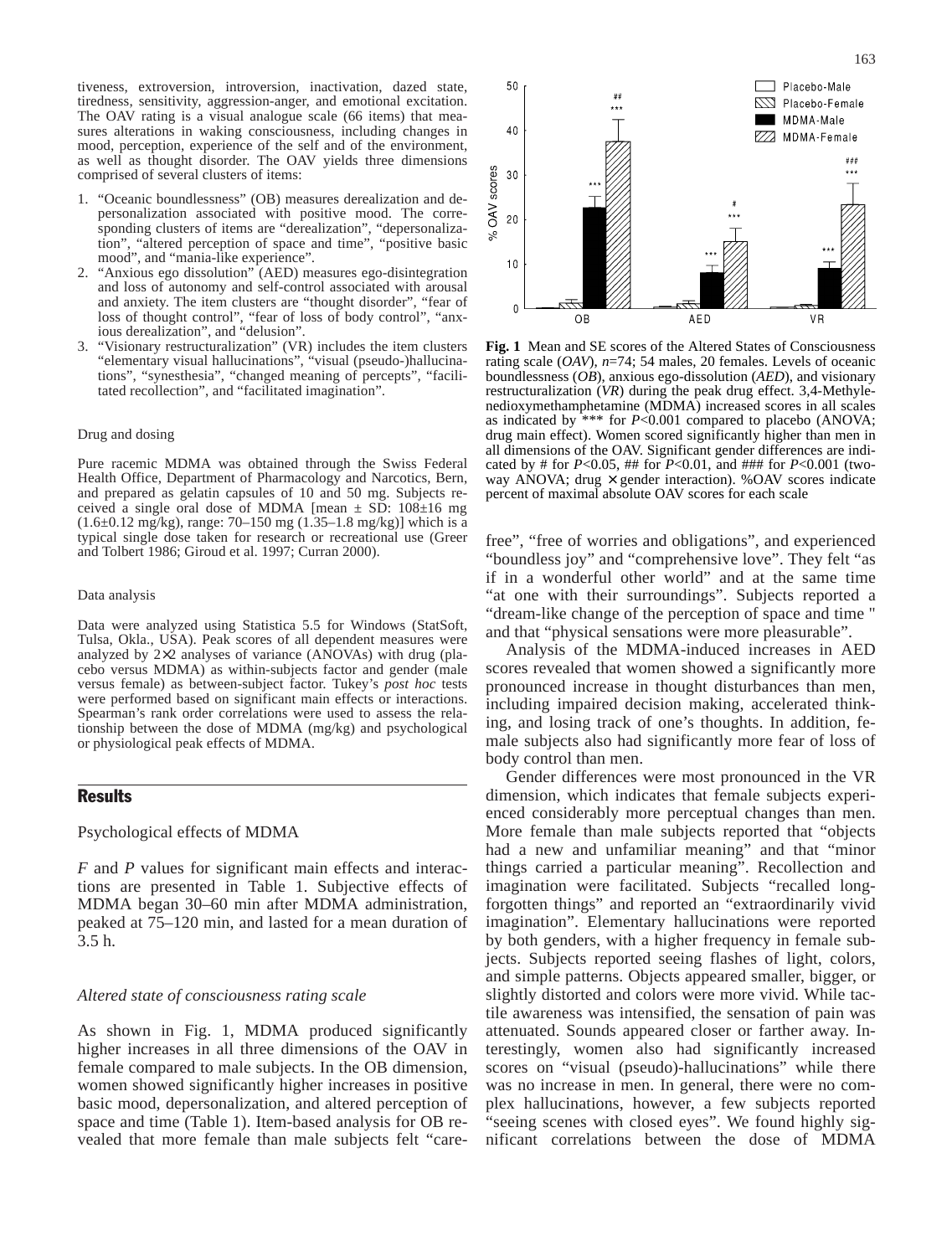tiveness, extroversion, introversion, inactivation, dazed state, tiredness, sensitivity, aggression-anger, and emotional excitation. The OAV rating is a visual analogue scale (66 items) that measures alterations in waking consciousness, including changes in mood, perception, experience of the self and of the environment, as well as thought disorder. The OAV yields three dimensions comprised of several clusters of items:

- 1. "Oceanic boundlessness" (OB) measures derealization and depersonalization associated with positive mood. The corresponding clusters of items are "derealization", "depersonalization", "altered perception of space and time", "positive basic mood", and "mania-like experience".
- 2. "Anxious ego dissolution" (AED) measures ego-disintegration and loss of autonomy and self-control associated with arousal and anxiety. The item clusters are "thought disorder", "fear of loss of thought control", "fear of loss of body control", "anxious derealization", and "delusion".
- 3. "Visionary restructuralization" (VR) includes the item clusters "elementary visual hallucinations", "visual (pseudo-)hallucinations", "synesthesia", "changed meaning of percepts", "facilitated recollection", and "facilitated imagination".

#### Drug and dosing

Pure racemic MDMA was obtained through the Swiss Federal Health Office, Department of Pharmacology and Narcotics, Bern, and prepared as gelatin capsules of 10 and 50 mg. Subjects received a single oral dose of MDMA [mean  $\pm$  SD: 108 $\pm$ 16 mg (1.6±0.12 mg/kg), range: 70–150 mg (1.35–1.8 mg/kg)] which is a typical single dose taken for research or recreational use (Greer and Tolbert 1986; Giroud et al. 1997; Curran 2000).

#### Data analysis

Data were analyzed using Statistica 5.5 for Windows (StatSoft, Tulsa, Okla., USA). Peak scores of all dependent measures were analyzed by 2×2 analyses of variance (ANOVAs) with drug (placebo versus MDMA) as within-subjects factor and gender (male versus female) as between-subject factor. Tukey's *post hoc* tests were performed based on significant main effects or interactions. Spearman's rank order correlations were used to assess the relationship between the dose of MDMA (mg/kg) and psychological or physiological peak effects of MDMA.

## Results

Psychological effects of MDMA

*F* and *P* values for significant main effects and interactions are presented in Table 1. Subjective effects of MDMA began 30–60 min after MDMA administration, peaked at 75–120 min, and lasted for a mean duration of 3.5 h.

## *Altered state of consciousness rating scale*

As shown in Fig. 1, MDMA produced significantly higher increases in all three dimensions of the OAV in female compared to male subjects. In the OB dimension, women showed significantly higher increases in positive basic mood, depersonalization, and altered perception of space and time (Table 1). Item-based analysis for OB revealed that more female than male subjects felt "care-



**Fig. 1** Mean and SE scores of the Altered States of Consciousness rating scale (*OAV*), *n*=74; 54 males, 20 females. Levels of oceanic boundlessness (*OB*), anxious ego-dissolution (*AED*), and visionary restructuralization (*VR*) during the peak drug effect. 3,4-Methylenedioxymethamphetamine (MDMA) increased scores in all scales as indicated by \*\*\* for *P*<0.001 compared to placebo (ANOVA; drug main effect). Women scored significantly higher than men in all dimensions of the OAV. Significant gender differences are indicated by # for *P*<0.05, ## for *P*<0.01, and ### for *P*<0.001 (twoway ANOVA; drug  $\times$  gender interaction). %OAV scores indicate percent of maximal absolute OAV scores for each scale

free", "free of worries and obligations", and experienced "boundless joy" and "comprehensive love". They felt "as if in a wonderful other world" and at the same time "at one with their surroundings". Subjects reported a "dream-like change of the perception of space and time " and that "physical sensations were more pleasurable".

Analysis of the MDMA-induced increases in AED scores revealed that women showed a significantly more pronounced increase in thought disturbances than men, including impaired decision making, accelerated thinking, and losing track of one's thoughts. In addition, female subjects also had significantly more fear of loss of body control than men.

Gender differences were most pronounced in the VR dimension, which indicates that female subjects experienced considerably more perceptual changes than men. More female than male subjects reported that "objects had a new and unfamiliar meaning" and that "minor things carried a particular meaning". Recollection and imagination were facilitated. Subjects "recalled longforgotten things" and reported an "extraordinarily vivid imagination". Elementary hallucinations were reported by both genders, with a higher frequency in female subjects. Subjects reported seeing flashes of light, colors, and simple patterns. Objects appeared smaller, bigger, or slightly distorted and colors were more vivid. While tactile awareness was intensified, the sensation of pain was attenuated. Sounds appeared closer or farther away. Interestingly, women also had significantly increased scores on "visual (pseudo)-hallucinations" while there was no increase in men. In general, there were no complex hallucinations, however, a few subjects reported "seeing scenes with closed eyes". We found highly significant correlations between the dose of MDMA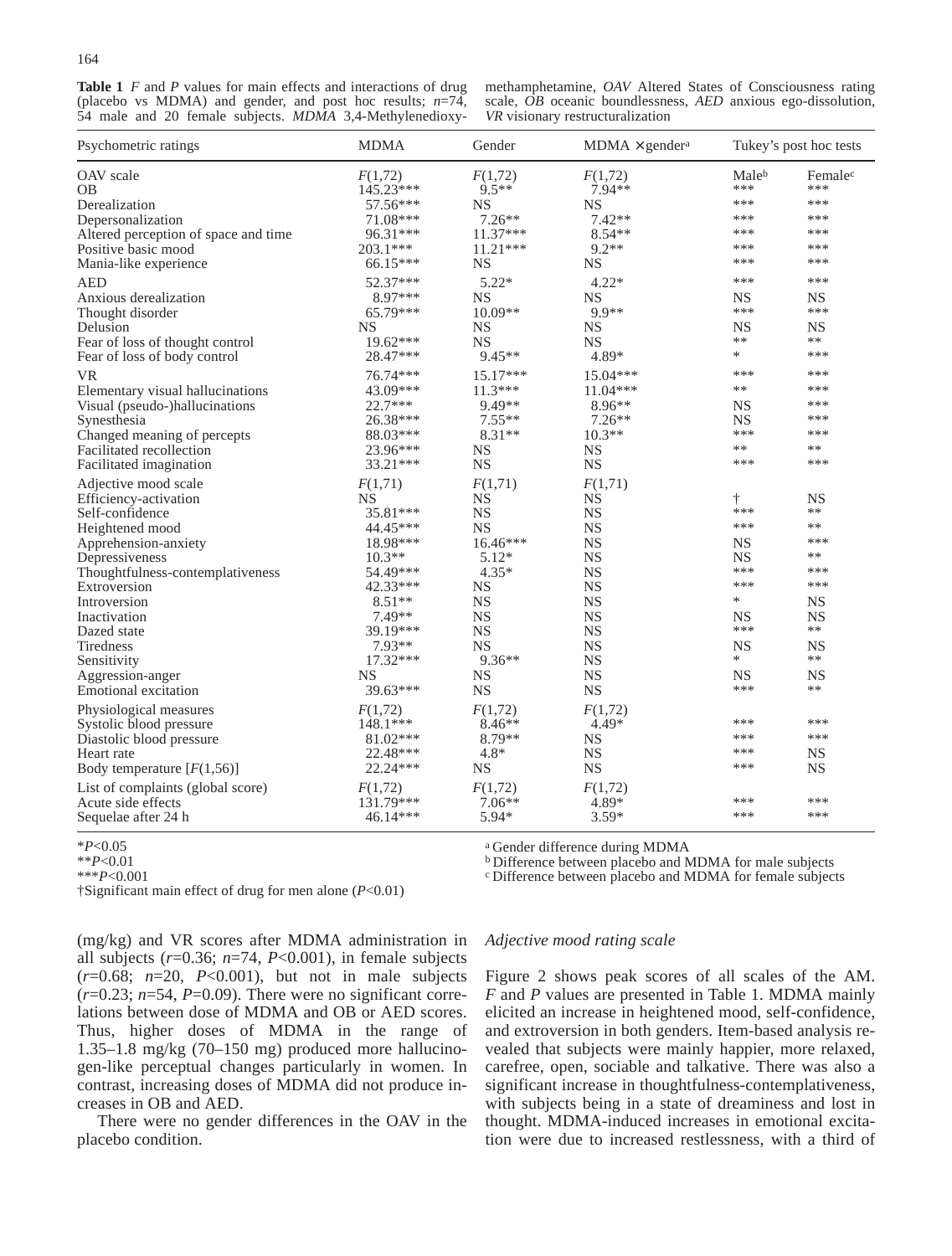**Table 1** *F* and *P* values for main effects and interactions of drug (placebo vs MDMA) and gender, and post hoc results; *n*=74, 54 male and 20 female subjects. *MDMA* 3,4-Methylenedioxymethamphetamine, *OAV* Altered States of Consciousness rating scale, *OB* oceanic boundlessness, *AED* anxious ego-dissolution, *VR* visionary restructuralization

| Psychometric ratings                                                                                                                                                                                                                                                             | <b>MDMA</b>                                                                                                                                                           | Gender                                                                                                                                                                | $MDMA \times gender^a$                                                                                                                                      | Tukey's post hoc tests                                                                                         |                                                                                                                        |
|----------------------------------------------------------------------------------------------------------------------------------------------------------------------------------------------------------------------------------------------------------------------------------|-----------------------------------------------------------------------------------------------------------------------------------------------------------------------|-----------------------------------------------------------------------------------------------------------------------------------------------------------------------|-------------------------------------------------------------------------------------------------------------------------------------------------------------|----------------------------------------------------------------------------------------------------------------|------------------------------------------------------------------------------------------------------------------------|
| OAV scale                                                                                                                                                                                                                                                                        | F(1,72)                                                                                                                                                               | F(1,72)                                                                                                                                                               | F(1,72)                                                                                                                                                     | Maleb                                                                                                          | Femalec                                                                                                                |
| OВ                                                                                                                                                                                                                                                                               | 145.23***                                                                                                                                                             | $9.5**$                                                                                                                                                               | $7.94**$                                                                                                                                                    | ***                                                                                                            | ***                                                                                                                    |
| Derealization                                                                                                                                                                                                                                                                    | 57.56***                                                                                                                                                              | <b>NS</b>                                                                                                                                                             | <b>NS</b>                                                                                                                                                   | ***                                                                                                            | ***                                                                                                                    |
| Depersonalization                                                                                                                                                                                                                                                                | 71.08***                                                                                                                                                              | $7.26**$                                                                                                                                                              | $7.42**$                                                                                                                                                    | ***                                                                                                            | ***                                                                                                                    |
| Altered perception of space and time                                                                                                                                                                                                                                             | 96.31***                                                                                                                                                              | $11.37***$                                                                                                                                                            | $8.54**$                                                                                                                                                    | ***                                                                                                            | ***                                                                                                                    |
| Positive basic mood                                                                                                                                                                                                                                                              | 203.1***                                                                                                                                                              | $11.21***$                                                                                                                                                            | $9.2**$                                                                                                                                                     | ***                                                                                                            | ***                                                                                                                    |
| Mania-like experience                                                                                                                                                                                                                                                            | 66.15***                                                                                                                                                              | <b>NS</b>                                                                                                                                                             | <b>NS</b>                                                                                                                                                   | ***                                                                                                            | ***                                                                                                                    |
| <b>AED</b>                                                                                                                                                                                                                                                                       | 52.37***                                                                                                                                                              | $5.22*$                                                                                                                                                               | $4.22*$                                                                                                                                                     | ***                                                                                                            | ***                                                                                                                    |
| Anxious derealization                                                                                                                                                                                                                                                            | 8.97***                                                                                                                                                               | <b>NS</b>                                                                                                                                                             | <b>NS</b>                                                                                                                                                   | <b>NS</b>                                                                                                      | <b>NS</b>                                                                                                              |
| Thought disorder                                                                                                                                                                                                                                                                 | 65.79***                                                                                                                                                              | $10.09**$                                                                                                                                                             | 9.9**                                                                                                                                                       | ***                                                                                                            | ***                                                                                                                    |
| Delusion                                                                                                                                                                                                                                                                         | <b>NS</b>                                                                                                                                                             | <b>NS</b>                                                                                                                                                             | <b>NS</b>                                                                                                                                                   | <b>NS</b>                                                                                                      | <b>NS</b>                                                                                                              |
| Fear of loss of thought control                                                                                                                                                                                                                                                  | $19.62***$                                                                                                                                                            | <b>NS</b>                                                                                                                                                             | NS                                                                                                                                                          | **                                                                                                             | **                                                                                                                     |
| Fear of loss of body control                                                                                                                                                                                                                                                     | 28.47***                                                                                                                                                              | $9.45**$                                                                                                                                                              | 4.89*                                                                                                                                                       | ∗                                                                                                              | ***                                                                                                                    |
| <b>VR</b>                                                                                                                                                                                                                                                                        | 76.74***                                                                                                                                                              | $15.17***$                                                                                                                                                            | $15.04***$                                                                                                                                                  | ***                                                                                                            | ***                                                                                                                    |
| Elementary visual hallucinations                                                                                                                                                                                                                                                 | 43.09***                                                                                                                                                              | $11.3***$                                                                                                                                                             | $11.04***$                                                                                                                                                  | **                                                                                                             | ***                                                                                                                    |
| Visual (pseudo-)hallucinations                                                                                                                                                                                                                                                   | $22.7***$                                                                                                                                                             | 9.49**                                                                                                                                                                | $8.96**$                                                                                                                                                    | <b>NS</b>                                                                                                      | ***                                                                                                                    |
| Synesthesia                                                                                                                                                                                                                                                                      | 26.38***                                                                                                                                                              | $7.55**$                                                                                                                                                              | $7.26**$                                                                                                                                                    | <b>NS</b>                                                                                                      | ***                                                                                                                    |
| Changed meaning of percepts                                                                                                                                                                                                                                                      | 88.03***                                                                                                                                                              | $8.31**$                                                                                                                                                              | $10.3**$                                                                                                                                                    | ***                                                                                                            | ***                                                                                                                    |
| Facilitated recollection                                                                                                                                                                                                                                                         | 23.96***                                                                                                                                                              | <b>NS</b>                                                                                                                                                             | NS                                                                                                                                                          | **                                                                                                             | **                                                                                                                     |
| Facilitated imagination                                                                                                                                                                                                                                                          | $33.21***$                                                                                                                                                            | <b>NS</b>                                                                                                                                                             | <b>NS</b>                                                                                                                                                   | ***                                                                                                            | ***                                                                                                                    |
| Adjective mood scale<br>Efficiency-activation<br>Self-confidence<br>Heightened mood<br>Apprehension-anxiety<br>Depressiveness<br>Thoughtfulness-contemplativeness<br>Extroversion<br>Introversion<br>Inactivation<br>Dazed state<br>Tiredness<br>Sensitivity<br>Aggression-anger | F(1,71)<br><b>NS</b><br>35.81***<br>44.45***<br>18.98***<br>$10.3**$<br>54.49***<br>42.33***<br>$8.51**$<br>$7.49**$<br>39.19***<br>7.93**<br>$17.32***$<br><b>NS</b> | F(1,71)<br>NS<br><b>NS</b><br><b>NS</b><br>$16.46***$<br>$5.12*$<br>$4.35*$<br><b>NS</b><br><b>NS</b><br><b>NS</b><br><b>NS</b><br><b>NS</b><br>$9.36**$<br><b>NS</b> | F(1,71)<br>NS<br><b>NS</b><br><b>NS</b><br><b>NS</b><br>NS<br><b>NS</b><br><b>NS</b><br><b>NS</b><br><b>NS</b><br><b>NS</b><br><b>NS</b><br>NS<br><b>NS</b> | $\dagger$<br>***<br>***<br><b>NS</b><br>NS<br>***<br>***<br>∗<br>NS<br>***<br><b>NS</b><br>$\ast$<br><b>NS</b> | <b>NS</b><br>$***$<br>**<br>***<br>**<br>***<br>***<br><b>NS</b><br><b>NS</b><br>**<br><b>NS</b><br>$***$<br><b>NS</b> |
| Emotional excitation<br>Physiological measures<br>Systolic blood pressure<br>Diastolic blood pressure<br>Heart rate<br>Body temperature $[F(1,56)]$<br>List of complaints (global score)<br>Acute side effects<br>Sequelae after 24 h                                            | 39.63***<br>F(1,72)<br>148.1***<br>81.02***<br>22.48***<br>22.24***<br>F(1,72)<br>131.79***<br>46.14***                                                               | <b>NS</b><br>F(1,72)<br>$8.46**$<br>8.79**<br>$4.8*$<br><b>NS</b><br>F(1,72)<br>$7.06**$<br>5.94*                                                                     | <b>NS</b><br>F(1,72)<br>$4.49*$<br><b>NS</b><br><b>NS</b><br><b>NS</b><br>F(1,72)<br>4.89*<br>$3.59*$                                                       | ***<br>***<br>***<br>***<br>***<br>***<br>***                                                                  | **<br>***<br>***<br><b>NS</b><br><b>NS</b><br>***<br>***                                                               |

\**P*<0.05

\*\**P*<0.01

\*\*\**P*<0.001

†Significant main effect of drug for men alone (*P*<0.01)

(mg/kg) and VR scores after MDMA administration in all subjects  $(r=0.36; n=74, P<0.001)$ , in female subjects (*r*=0.68; *n*=20, *P*<0.001), but not in male subjects  $(r=0.23; n=54, P=0.09)$ . There were no significant correlations between dose of MDMA and OB or AED scores. Thus, higher doses of MDMA in the range of 1.35–1.8 mg/kg (70–150 mg) produced more hallucinogen-like perceptual changes particularly in women. In contrast, increasing doses of MDMA did not produce increases in OB and AED.

There were no gender differences in the OAV in the placebo condition.

a Gender difference during MDMA

b Difference between placebo and MDMA for male subjects

c Difference between placebo and MDMA for female subjects

### *Adjective mood rating scale*

Figure 2 shows peak scores of all scales of the AM. *F* and *P* values are presented in Table 1. MDMA mainly elicited an increase in heightened mood, self-confidence, and extroversion in both genders. Item-based analysis revealed that subjects were mainly happier, more relaxed, carefree, open, sociable and talkative. There was also a significant increase in thoughtfulness-contemplativeness, with subjects being in a state of dreaminess and lost in thought. MDMA-induced increases in emotional excitation were due to increased restlessness, with a third of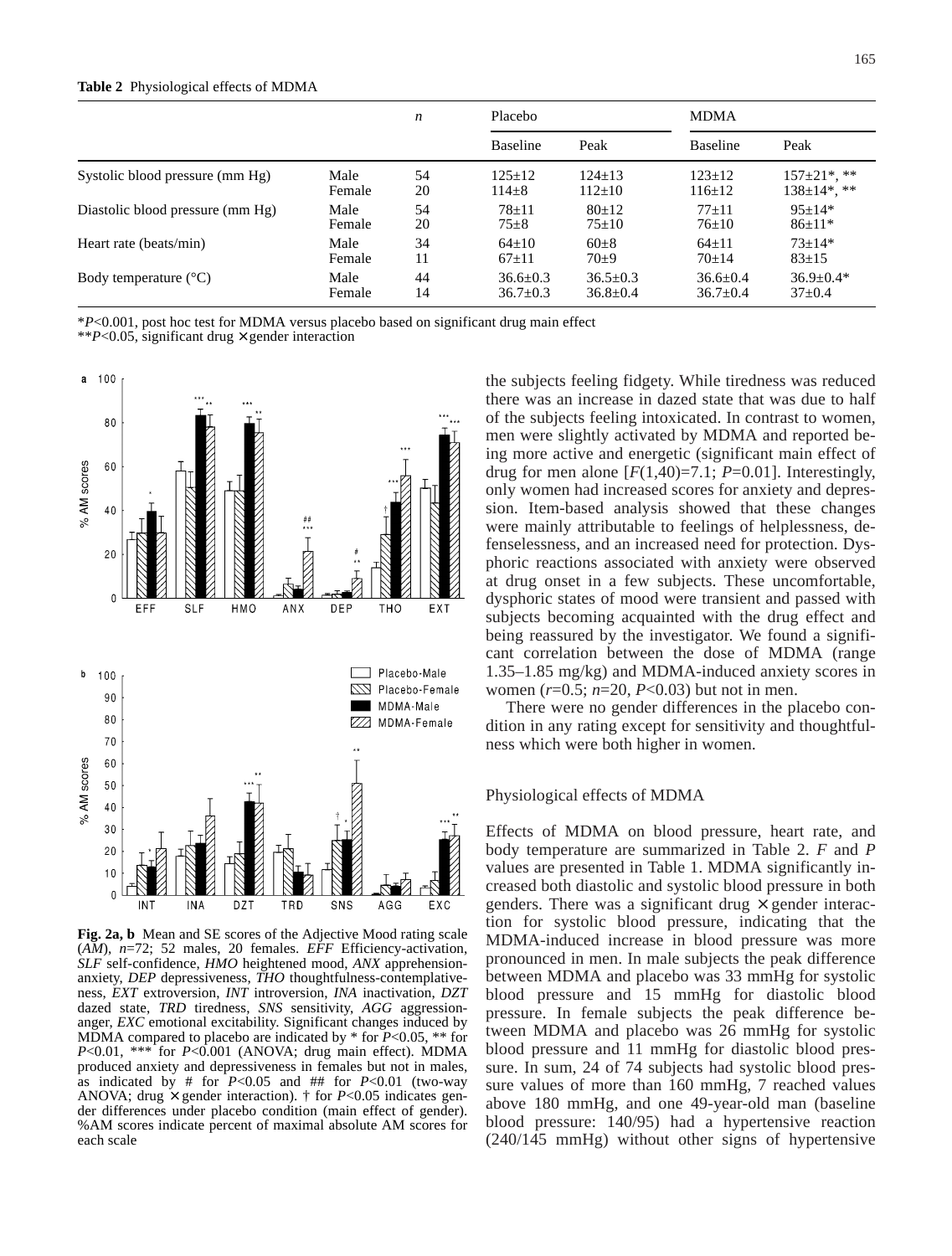|                                  |        | n  | Placebo         |                |                 | <b>MDMA</b>        |  |
|----------------------------------|--------|----|-----------------|----------------|-----------------|--------------------|--|
|                                  |        |    | <b>Baseline</b> | Peak           | <b>Baseline</b> | Peak               |  |
| Systolic blood pressure (mm Hg)  | Male   | 54 | $125+12$        | $124 + 13$     | $123+12$        | $157 \pm 21$ *, ** |  |
|                                  | Female | 20 | $114\pm8$       | $112 \pm 10$   | $116 \pm 12$    | $138 \pm 14$ *, ** |  |
| Diastolic blood pressure (mm Hg) | Male   | 54 | $78 + 11$       | $80+12$        | $77+11$         | $95+14*$           |  |
|                                  | Female | 20 | $75 + 8$        | $75 \pm 10$    | $76 \pm 10$     | $86 \pm 11*$       |  |
| Heart rate (beats/min)           | Male   | 34 | $64+10$         | $60+8$         | $64+11$         | $73+14*$           |  |
|                                  | Female | 11 | $67+11$         | $70+9$         | $70+14$         | $83 \pm 15$        |  |
| Body temperature $(^{\circ}C)$   | Male   | 44 | $36.6 \pm 0.3$  | $36.5 \pm 0.3$ | $36.6 \pm 0.4$  | $36.9 \pm 0.4*$    |  |
|                                  | Female | 14 | $36.7 \pm 0.3$  | $36.8 \pm 0.4$ | $36.7 \pm 0.4$  | $37 \pm 0.4$       |  |

\**P*<0.001, post hoc test for MDMA versus placebo based on significant drug main effect

\*\* $P$ <0.05, significant drug  $\times$  gender interaction



**Fig. 2a, b** Mean and SE scores of the Adjective Mood rating scale (*AM*), *n*=72; 52 males, 20 females. *EFF* Efficiency-activation, *SLF* self-confidence, *HMO* heightened mood, *ANX* apprehensionanxiety, *DEP* depressiveness, *THO* thoughtfulness-contemplativeness, *EXT* extroversion, *INT* introversion, *INA* inactivation, *DZT* dazed state, *TRD* tiredness, *SNS* sensitivity, *AGG* aggressionanger, *EXC* emotional excitability. Significant changes induced by MDMA compared to placebo are indicated by \* for *P*<0.05, \*\* for *P*<0.01, \*\*\* for *P*<0.001 (ANOVA; drug main effect). MDMA produced anxiety and depressiveness in females but not in males, as indicated by # for  $P<0.05$  and ## for  $P<0.01$  (two-way ANOVA; drug  $\times$  gender interaction).  $\dagger$  for *P*<0.05 indicates gender differences under placebo condition (main effect of gender). %AM scores indicate percent of maximal absolute AM scores for each scale

the subjects feeling fidgety. While tiredness was reduced there was an increase in dazed state that was due to half of the subjects feeling intoxicated. In contrast to women, men were slightly activated by MDMA and reported being more active and energetic (significant main effect of drug for men alone [*F*(1,40)=7.1; *P*=0.01]. Interestingly, only women had increased scores for anxiety and depression. Item-based analysis showed that these changes were mainly attributable to feelings of helplessness, defenselessness, and an increased need for protection. Dysphoric reactions associated with anxiety were observed at drug onset in a few subjects. These uncomfortable, dysphoric states of mood were transient and passed with subjects becoming acquainted with the drug effect and being reassured by the investigator. We found a significant correlation between the dose of MDMA (range 1.35–1.85 mg/kg) and MDMA-induced anxiety scores in women (*r*=0.5; *n*=20, *P*<0.03) but not in men.

There were no gender differences in the placebo condition in any rating except for sensitivity and thoughtfulness which were both higher in women.

## Physiological effects of MDMA

Effects of MDMA on blood pressure, heart rate, and body temperature are summarized in Table 2. *F* and *P* values are presented in Table 1. MDMA significantly increased both diastolic and systolic blood pressure in both genders. There was a significant drug  $\times$  gender interaction for systolic blood pressure, indicating that the MDMA-induced increase in blood pressure was more pronounced in men. In male subjects the peak difference between MDMA and placebo was 33 mmHg for systolic blood pressure and 15 mmHg for diastolic blood pressure. In female subjects the peak difference between MDMA and placebo was 26 mmHg for systolic blood pressure and 11 mmHg for diastolic blood pressure. In sum, 24 of 74 subjects had systolic blood pressure values of more than 160 mmHg, 7 reached values above 180 mmHg, and one 49-year-old man (baseline blood pressure: 140/95) had a hypertensive reaction (240/145 mmHg) without other signs of hypertensive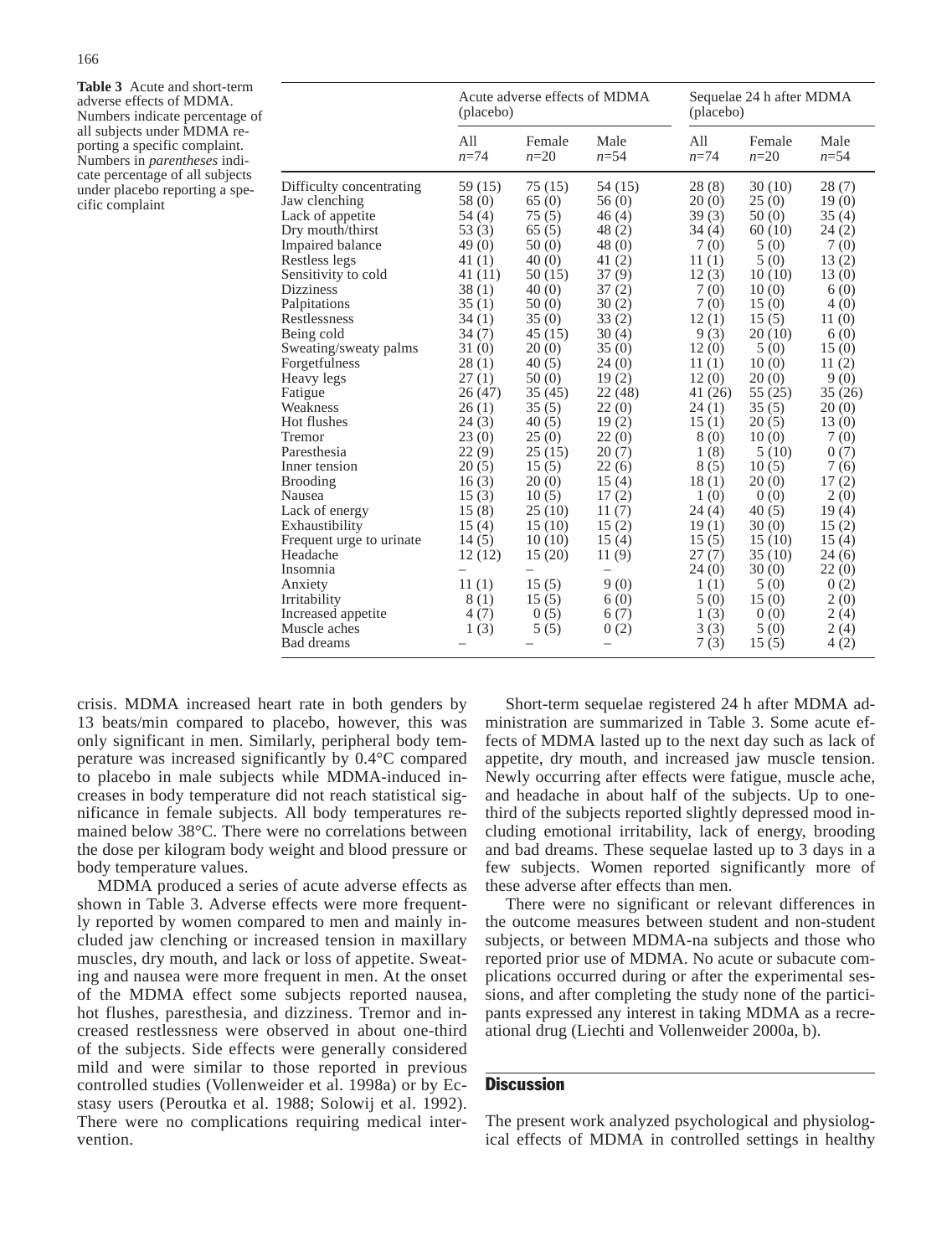**Table 3** Acute and short-term adverse effects of MDMA. Numbers indicate percentage of all subjects under MDMA reporting a specific complaint. Numbers in *parentheses* indicate percentage of all subjects under placebo reporting a specific complaint

|                                                                                                                                                                                                                                                                                                                                                                                                                                                                                           |                                                                                                                                                                                                                                                                       | Acute adverse effects of MDMA<br>(placebo)                                                                                                                                                                                                                                                      |                                                                                                                                                                                                                                                                                  |                                                                                                                                                                                                                                                           | Sequelae 24 h after MDMA<br>(placebo)                                                                                                                                                                                                                               |                                                                                                                                                                                                                                                         |  |
|-------------------------------------------------------------------------------------------------------------------------------------------------------------------------------------------------------------------------------------------------------------------------------------------------------------------------------------------------------------------------------------------------------------------------------------------------------------------------------------------|-----------------------------------------------------------------------------------------------------------------------------------------------------------------------------------------------------------------------------------------------------------------------|-------------------------------------------------------------------------------------------------------------------------------------------------------------------------------------------------------------------------------------------------------------------------------------------------|----------------------------------------------------------------------------------------------------------------------------------------------------------------------------------------------------------------------------------------------------------------------------------|-----------------------------------------------------------------------------------------------------------------------------------------------------------------------------------------------------------------------------------------------------------|---------------------------------------------------------------------------------------------------------------------------------------------------------------------------------------------------------------------------------------------------------------------|---------------------------------------------------------------------------------------------------------------------------------------------------------------------------------------------------------------------------------------------------------|--|
|                                                                                                                                                                                                                                                                                                                                                                                                                                                                                           | All<br>$n = 74$                                                                                                                                                                                                                                                       | Female<br>$n=20$                                                                                                                                                                                                                                                                                | Male<br>$n = 54$                                                                                                                                                                                                                                                                 | All<br>$n = 74$                                                                                                                                                                                                                                           | Female<br>$n=20$                                                                                                                                                                                                                                                    | Male<br>$n = 54$                                                                                                                                                                                                                                        |  |
| Difficulty concentrating<br>Jaw clenching<br>Lack of appetite<br>Dry mouth/thirst<br>Impaired balance<br>Restless legs<br>Sensitivity to cold<br>Dizziness<br>Palpitations<br>Restlessness<br>Being cold<br>Sweating/sweaty palms<br>Forgetfulness<br>Heavy legs<br>Fatigue<br>Weakness<br>Hot flushes<br>Tremor<br>Paresthesia<br>Inner tension<br>Brooding<br>Nausea<br>Lack of energy<br>Exhaustibility<br>Frequent urge to urinate<br>Headache<br>Insomnia<br>Anxiety<br>Irritability | 59 (15)<br>58 (0)<br>54(4)<br>53 $(3)$<br>49(0)<br>41 $(1)$<br>41 (11)<br>38(1)<br>35(1)<br>34(1)<br>34(7)<br>31(0)<br>28(1)<br>27(1)<br>26 (47)<br>26(1)<br>24(3)<br>23(0)<br>22(9)<br>20(5)<br>16(3)<br>15(3)<br>15(8)<br>15(4)<br>14(5)<br>12(12)<br>11(1)<br>8(1) | 75 (15)<br>65(0)<br>75(5)<br>65(5)<br>50(0)<br>40(0)<br>50 (15)<br>40(0)<br>50(0)<br>35(0)<br>45(15)<br>20(0)<br>40(5)<br>50(0)<br>35(45)<br>35(5)<br>40(5)<br>25(0)<br>25(15)<br>15(5)<br>20(0)<br>10(5)<br>25(10)<br>15(10)<br>10(10)<br>15(20)<br>$\overline{\phantom{0}}$<br>15(5)<br>15(5) | 54 (15)<br>56(0)<br>46(4)<br>48 (2)<br>48(0)<br>41 (2)<br>37(9)<br>37(2)<br>30(2)<br>33(2)<br>30(4)<br>35(0)<br>24(0)<br>19(2)<br>22(48)<br>22(0)<br>19(2)<br>22(0)<br>20(7)<br>22(6)<br>15(4)<br>17(2)<br>11(7)<br>15(2)<br>15(4)<br>11(9)<br>$\qquad \qquad -$<br>9(0)<br>6(0) | 28(8)<br>20(0)<br>39(3)<br>34(4)<br>7(0)<br>11(1)<br>12(3)<br>7(0)<br>7(0)<br>12(1)<br>9(3)<br>12(0)<br>11(1)<br>12(0)<br>41(26)<br>24(1)<br>15(1)<br>8 (0)<br>1(8)<br>8(5)<br>18(1)<br>1(0)<br>24(4)<br>19(1)<br>15(5)<br>27(7)<br>24(0)<br>1(1)<br>5(0) | 30(10)<br>25(0)<br>50(0)<br>60(10)<br>5(0)<br>5(0)<br>10(10)<br>10(0)<br>15(0)<br>15(5)<br>20(10)<br>5(0)<br>10(0)<br>20(0)<br>55(25)<br>35(5)<br>20(5)<br>10(0)<br>5(10)<br>10(5)<br>20(0)<br>0(0)<br>40(5)<br>30(0)<br>15(10)<br>35(10)<br>30(0)<br>5(0)<br>15(0) | 28(7)<br>19(0)<br>35(4)<br>24(2)<br>7(0)<br>13(2)<br>13(0)<br>6(0)<br>4(0)<br>11(0)<br>6(0)<br>15(0)<br>11(2)<br>9(0)<br>35(26)<br>20(0)<br>13(0)<br>7(0)<br>0(7)<br>7(6)<br>17(2)<br>2(0)<br>19(4)<br>15(2)<br>15(4)<br>24(6)<br>22(0)<br>0(2)<br>2(0) |  |
| Increased appetite<br>Muscle aches<br>Bad dreams                                                                                                                                                                                                                                                                                                                                                                                                                                          | 4(7)<br>1(3)                                                                                                                                                                                                                                                          | 0(5)<br>5(5)                                                                                                                                                                                                                                                                                    | 6(7)<br>0(2)                                                                                                                                                                                                                                                                     | 1(3)<br>3(3)<br>7(3)                                                                                                                                                                                                                                      | 0(0)<br>5(0)<br>15(5)                                                                                                                                                                                                                                               | 2(4)<br>2(4)<br>4(2)                                                                                                                                                                                                                                    |  |

crisis. MDMA increased heart rate in both genders by 13 beats/min compared to placebo, however, this was only significant in men. Similarly, peripheral body temperature was increased significantly by 0.4°C compared to placebo in male subjects while MDMA-induced increases in body temperature did not reach statistical significance in female subjects. All body temperatures remained below 38°C. There were no correlations between the dose per kilogram body weight and blood pressure or body temperature values.

MDMA produced a series of acute adverse effects as shown in Table 3. Adverse effects were more frequently reported by women compared to men and mainly included jaw clenching or increased tension in maxillary muscles, dry mouth, and lack or loss of appetite. Sweating and nausea were more frequent in men. At the onset of the MDMA effect some subjects reported nausea, hot flushes, paresthesia, and dizziness. Tremor and increased restlessness were observed in about one-third of the subjects. Side effects were generally considered mild and were similar to those reported in previous controlled studies (Vollenweider et al. 1998a) or by Ecstasy users (Peroutka et al. 1988; Solowij et al. 1992). There were no complications requiring medical intervention.

Short-term sequelae registered 24 h after MDMA administration are summarized in Table 3. Some acute effects of MDMA lasted up to the next day such as lack of appetite, dry mouth, and increased jaw muscle tension. Newly occurring after effects were fatigue, muscle ache, and headache in about half of the subjects. Up to onethird of the subjects reported slightly depressed mood including emotional irritability, lack of energy, brooding and bad dreams. These sequelae lasted up to 3 days in a few subjects. Women reported significantly more of these adverse after effects than men.

There were no significant or relevant differences in the outcome measures between student and non-student subjects, or between MDMA-na subjects and those who reported prior use of MDMA. No acute or subacute complications occurred during or after the experimental sessions, and after completing the study none of the participants expressed any interest in taking MDMA as a recreational drug (Liechti and Vollenweider 2000a, b).

# **Discussion**

The present work analyzed psychological and physiological effects of MDMA in controlled settings in healthy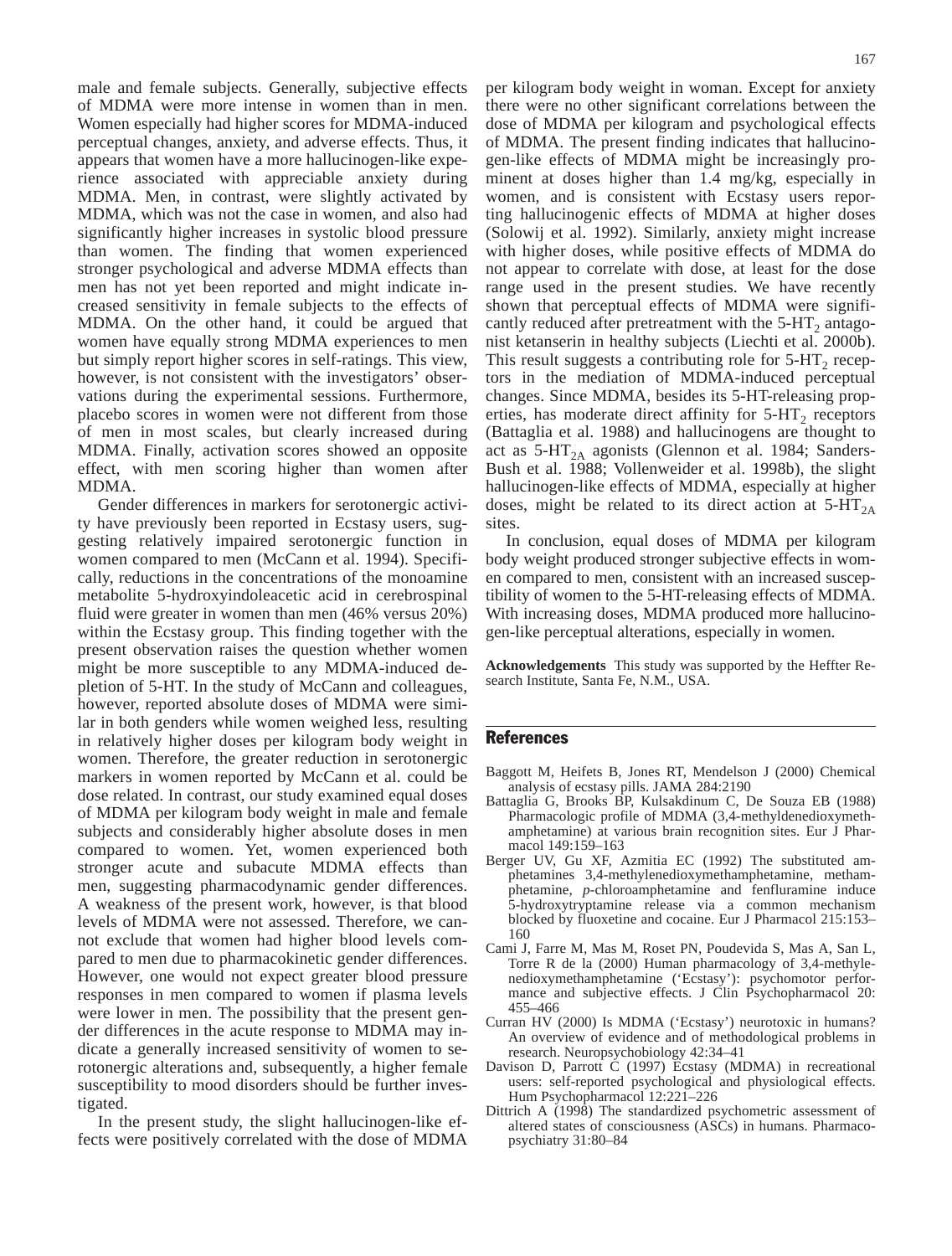male and female subjects. Generally, subjective effects of MDMA were more intense in women than in men. Women especially had higher scores for MDMA-induced perceptual changes, anxiety, and adverse effects. Thus, it appears that women have a more hallucinogen-like experience associated with appreciable anxiety during MDMA. Men, in contrast, were slightly activated by MDMA, which was not the case in women, and also had significantly higher increases in systolic blood pressure than women. The finding that women experienced stronger psychological and adverse MDMA effects than men has not yet been reported and might indicate increased sensitivity in female subjects to the effects of MDMA. On the other hand, it could be argued that women have equally strong MDMA experiences to men but simply report higher scores in self-ratings. This view, however, is not consistent with the investigators' observations during the experimental sessions. Furthermore,

placebo scores in women were not different from those of men in most scales, but clearly increased during MDMA. Finally, activation scores showed an opposite effect, with men scoring higher than women after MDMA.

Gender differences in markers for serotonergic activity have previously been reported in Ecstasy users, suggesting relatively impaired serotonergic function in women compared to men (McCann et al. 1994). Specifically, reductions in the concentrations of the monoamine metabolite 5-hydroxyindoleacetic acid in cerebrospinal fluid were greater in women than men (46% versus 20%) within the Ecstasy group. This finding together with the present observation raises the question whether women might be more susceptible to any MDMA-induced depletion of 5-HT. In the study of McCann and colleagues, however, reported absolute doses of MDMA were similar in both genders while women weighed less, resulting in relatively higher doses per kilogram body weight in women. Therefore, the greater reduction in serotonergic markers in women reported by McCann et al. could be dose related. In contrast, our study examined equal doses of MDMA per kilogram body weight in male and female subjects and considerably higher absolute doses in men compared to women. Yet, women experienced both stronger acute and subacute MDMA effects than men, suggesting pharmacodynamic gender differences. A weakness of the present work, however, is that blood levels of MDMA were not assessed. Therefore, we cannot exclude that women had higher blood levels compared to men due to pharmacokinetic gender differences. However, one would not expect greater blood pressure responses in men compared to women if plasma levels were lower in men. The possibility that the present gender differences in the acute response to MDMA may indicate a generally increased sensitivity of women to serotonergic alterations and, subsequently, a higher female susceptibility to mood disorders should be further investigated.

In the present study, the slight hallucinogen-like effects were positively correlated with the dose of MDMA per kilogram body weight in woman. Except for anxiety there were no other significant correlations between the dose of MDMA per kilogram and psychological effects of MDMA. The present finding indicates that hallucinogen-like effects of MDMA might be increasingly prominent at doses higher than 1.4 mg/kg, especially in women, and is consistent with Ecstasy users reporting hallucinogenic effects of MDMA at higher doses (Solowij et al. 1992). Similarly, anxiety might increase with higher doses, while positive effects of MDMA do not appear to correlate with dose, at least for the dose range used in the present studies. We have recently shown that perceptual effects of MDMA were significantly reduced after pretreatment with the  $5-HT<sub>2</sub>$  antagonist ketanserin in healthy subjects (Liechti et al. 2000b). This result suggests a contributing role for  $5-HT<sub>2</sub>$  receptors in the mediation of MDMA-induced perceptual changes. Since MDMA, besides its 5-HT-releasing properties, has moderate direct affinity for  $5-HT<sub>2</sub>$  receptors (Battaglia et al. 1988) and hallucinogens are thought to act as  $5-HT_{2A}$  agonists (Glennon et al. 1984; Sanders-Bush et al. 1988; Vollenweider et al. 1998b), the slight hallucinogen-like effects of MDMA, especially at higher doses, might be related to its direct action at  $5-HT_{2A}$ sites.

In conclusion, equal doses of MDMA per kilogram body weight produced stronger subjective effects in women compared to men, consistent with an increased susceptibility of women to the 5-HT-releasing effects of MDMA. With increasing doses, MDMA produced more hallucinogen-like perceptual alterations, especially in women.

**Acknowledgements** This study was supported by the Heffter Research Institute, Santa Fe, N.M., USA.

## **References**

- Baggott M, Heifets B, Jones RT, Mendelson J (2000) Chemical analysis of ecstasy pills. JAMA 284:2190
- Battaglia G, Brooks BP, Kulsakdinum C, De Souza EB (1988) Pharmacologic profile of MDMA (3,4-methyldenedioxymethamphetamine) at various brain recognition sites. Eur J Pharmacol 149:159–163
- Berger UV, Gu XF, Azmitia EC (1992) The substituted amphetamines 3,4-methylenedioxymethamphetamine, methamphetamine, *p*-chloroamphetamine and fenfluramine induce 5-hydroxytryptamine release via a common mechanism blocked by fluoxetine and cocaine. Eur J Pharmacol 215:153– 160
- Cami J, Farre M, Mas M, Roset PN, Poudevida S, Mas A, San L, Torre R de la (2000) Human pharmacology of 3,4-methylenedioxymethamphetamine ('Ecstasy'): psychomotor performance and subjective effects. J Clin Psychopharmacol 20: 455–466
- Curran HV (2000) Is MDMA ('Ecstasy') neurotoxic in humans? An overview of evidence and of methodological problems in research. Neuropsychobiology 42:34–41
- Davison D, Parrott C (1997) Ecstasy (MDMA) in recreational users: self-reported psychological and physiological effects. Hum Psychopharmacol 12:221–226
- Dittrich A (1998) The standardized psychometric assessment of altered states of consciousness (ASCs) in humans. Pharmacopsychiatry 31:80–84